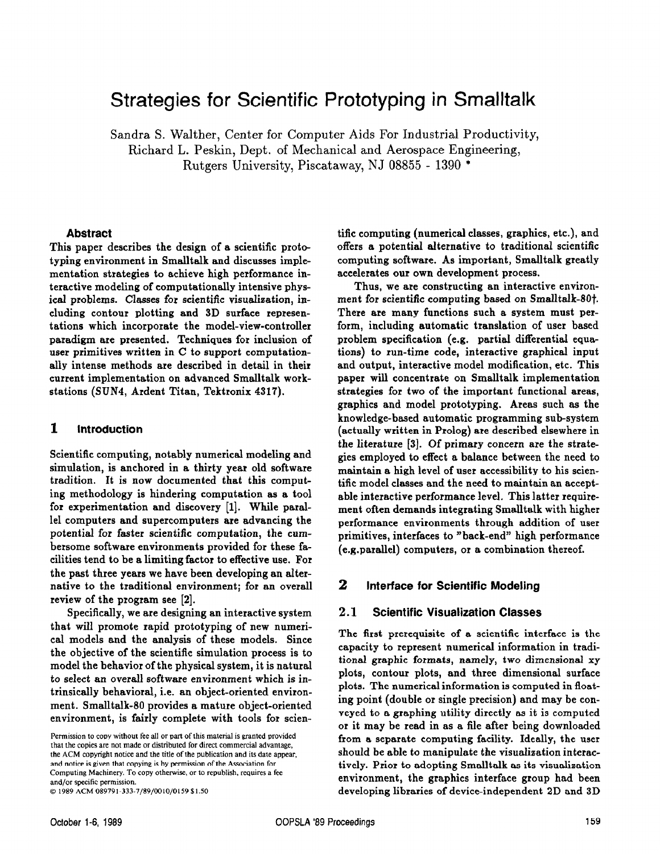# Strategies for Scientific Prototyping in Smalltalk

Sandra S. Walther, Center for Computer Aids For Industrial Productivity, Richard L. Peskin, Dept. of Mechanical and Aerospace Engineering, Rutgers University, Piscataway, NJ 08855 - 1390 +

#### Abstract

This paper describes the design of a scientific prototyping environment in Smalltalk and discusses implementation strategies to achieve high performance interactive modeling of computationally intensive physical problems. Classes for scientific visualization, including contour plotting and 3D surface representations which incorporate the model-view-controller paradigm are presented. Techniques for inclusion of user primitives written in C to support computationally intense methods are described in detail in their current implementation on advanced Smalltalk workstations (SUN4, Ardent Titan, Tektronix 4317).

#### 1 Introduction

Scientific computing, notably numerical modeling and simulation, is anchored in a thirty year old software tradition. It is now documented that this computing methodology is hindering computation as a tool for experimentation and discovery [l]. While parallel computers and supercomputers are advancing the potential for faster scientific computation, the cumbersome software environments provided for these facilities tend to be a limiting factor to effective use. For the past three years we have been developing an alternative to the traditional environment; for an overall review of the program see [2].

Specifically, we are designing an interactive system that will promote rapid prototyping of new numerical models and the analysis of these models. Since the objective of the scientific simulation process is to model the behavior of the physical system, it is natural to select an overall software environment which is intrinsically behavioral, i.e. an object-oriented environment. Smalltalk-80 provides a mature object-oriented environment, is fairly complete with tools for scien-

0 1989 ACM 089791-333-7/89/0010/0159 \$1.50

tific computing (numerical classes, graphics, etc.), and offers a potential alternative to traditional scientific computing software. As important, Smalltalk greatly accelerates our own development process.

Thus, we are constructing an interactive environment for scientific computing based on Smalltalk-80t. There are many functions such a system must perform, including automatic translation of user based problem specification (e.g. partial differential equations) to run-time code, interactive graphical input and output, interactive model modification, etc. This paper will concentrate on Smalltalk implementation strategies for two of the important functional areas, graphics and model prototyping. Areas such as the knowledge-based automatic programming sub-system (actually written in Prolog) are described elsewhere in the literature [3]. Of primary concern are the strategies employed to effect a balance between the need to maintain a high level of user accessibility to his scientific model classes and the need to maintain an acceptable interactive performance level. This latter requirement often demands integrating Smalltalk with higher performance environments through addition of user primitives, interfaces to "back-end" high performance (e.g.parallel) computers, or a combination thereof.

### 2 Interface for Scientific Modeling

#### 2.1 Scientific Visualization Classes

The first prerequisite of a scientific interface is the capacity to represent numerical information in traditional graphic formats, namely, two dimensional xy plots, contour plots, and three dimensional surface plots. The numerical information is computed in floating point (double or single precision) and may be conveyed to a graphing utility directly as it is computed or it may be read in as a file after being downloaded from a separate computing facility. Ideally, the user should be able to manipulate the visualization interactively. Prior to adopting Smalltalk as its visualization environment, the graphics interface group had been developing libraries of device-independent 2D and 3D

Permission to copy without fee all or part of this material is granted provided that the copies are not made or distributed for direct commercial advantage, the ACM copyright notice and the title of the publication and its date appear, and notice is given that copying is by permission of the Association for Computing Machinery. To copy otherwise, or to republish, requires a fee and/or specific permission.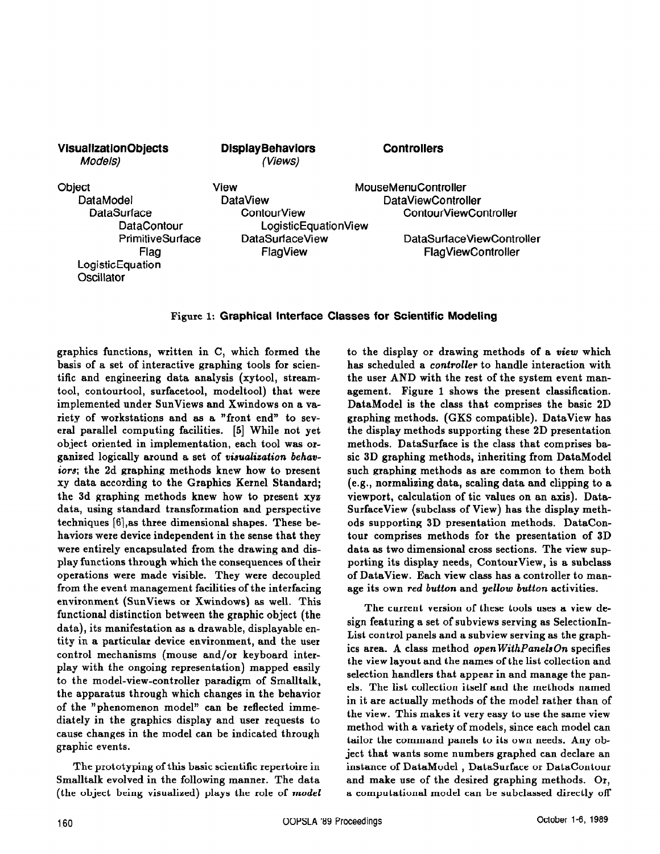VisuaiizationObjects Models)

> LogisticEquation **Oscillator**

graphics functions, written in C, which formed the basis of a set of interactive graphing tools for scientific and engineering data analysis (xytool, streamtool, contourtool, surfacetool, modeltool) that were implemented under SunViews and Xwindows on a variety of workstations and as a "front end" to several parallel computing facilities. [5] While not yet object oriented in implementation, each tool was organized logically around a set of visualization behaviors; the 2d graphing methods knew how to present xy data according to the Graphics Kernel Standard; the 3d graphing methods knew how to present xyz data, using standard transformation and perspective techniques [6],as three dimensional shapes. These behaviors were device independent in the sense that they were entirely encapsulated from the drawing and display functions through which the consequences of their operations were made visible. They were decoupled from the event management facilities of the interfacing environment (SunViews or Xwindows) as well. This functional distinction between the graphic object (the data), its manifestation as a drawable, displayable entity in a particular device environment, and the user control mechanisms (mouse and/or keyboard interplay with the ongoing representation) mapped easily to the model-view-controller paradigm of Smalltalk, the apparatus through which changes in the behavior of the "phenomenon model" can be reflected immediately in the graphics display and user requests to cause changes in the model can be indicated through

The prototyping of this basic scientific repertoire in Smalltalk evolved in the following manner. The data (the object being visualized) plays the role of model

# DataModel DataView DataViewControIler DataContour LogisticEquationView PrimitiveSurface DataSurfaceView DataSurfaceViewController Flag FlagView FlagView FlagViewController

### to the display or drawing methods of a view which has scheduled a controller to handle interaction with the user AND with the rest of the system event management. Figure 1 shows the present classification. DataModel is the class that comprises the basic 2D graphing methods. (GKS compatible). DataView has the display methods supporting these 2D presentation methods. DataSurface is the class that comprises basic 3D graphing methods, inheriting from DataModel such graphing methods as are common to them both (e.g., normalizing data, scaling data and clipping to a viewport, calculation of tic values on an axis). Data-SurfaceView (subclass of View) has the display methods supporting 3D presentation methods. DataContour comprises methods for the presentation of 3D data as two dimensional cross sections. The view supporting its display needs, ContourView, is a subclass of DataView. Each view class has a controller to man-

The current version of these tools uses a view design featuring a set of subviews serving as SelectionIn-List control panels and a subview serving as the graphics area. A class method open With Panels On specifies the view layout and the names of the list collection and selection handlers that appear in and manage the panels. The list collection itself and the methods named in it are actually methods of the model rather than of the view. This makes it very easy to use the same view method with a variety of models, since each model can tailor the command panels to its own needs. Any object that wants some numbers graphed can declare an instance of DataModel , DataSurface or DataContour and make use of the desired graphing methods. Or, a computational model can be subclassed directly off

age its own red button and yellow button activities.

graphic events.

Object **MouseMenuController** View **MouseMenuController** 

Display Behaviors (views)

Figure 1: Graphical interface Classes for Scientific Modeling

**Controllers** 

DataSurface ContourView Contour-View ContourViewController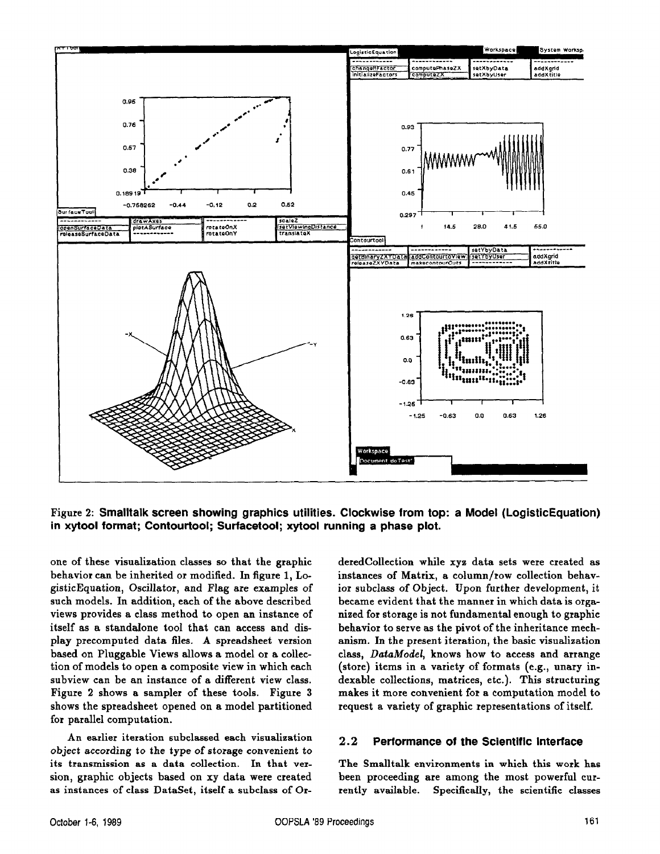

Figure 2: Smalltalk screen showing graphics utilities. Clockwise from top: a Model (LogisticEquation) in xytool format; Contourtool; Surfacetool; xytool running a phase plot.

one of these visualization classes so that the graphic behavior can be inherited or modified. In figure 1, LogisticEquation, Oscillator, and Flag are examples of such models. In addition, each of the above described views provides a class method to open an instance of itself as a standalone tool that can access and display precomputed data files. A spreadsheet version based on Huggable Views allows a model or a collection of models to open a composite view in which each subview can be an instance of a different view class. Figure 2 shows a sampler of these tools. Figure 3 shows the spreadsheet opened on a model partitioned for parallel computation.

An earlier iteration subclassed each visualization object according to the type of storage convenient to its transmission as a data collection. In that version, graphic objects based on xy data were created as instances of class DataSet, itself a subclass of OrderedCollection while xyz data sets were created as instances of Matrix, a column/row collection behavior subclass of Object. Upon further development, it became evident that the manner in which data is organized for storage is not fundamental enough to graphic behavior to serve as the pivot of the inheritance mechanism. In the present iteration, the basic visualization class, DataModel, knows how to access and arrange (store) items in a variety of formats (e.g., unary indexable collections, matrices, etc.). This structuring makes it more convenient for a computation model to request a variety of graphic representations of itself.

#### 2.2 Performance of the Scientific Interface

The Smalltalk environments in which this work has been proceeding are among the most powerful currently available. Specifically, the scientific classes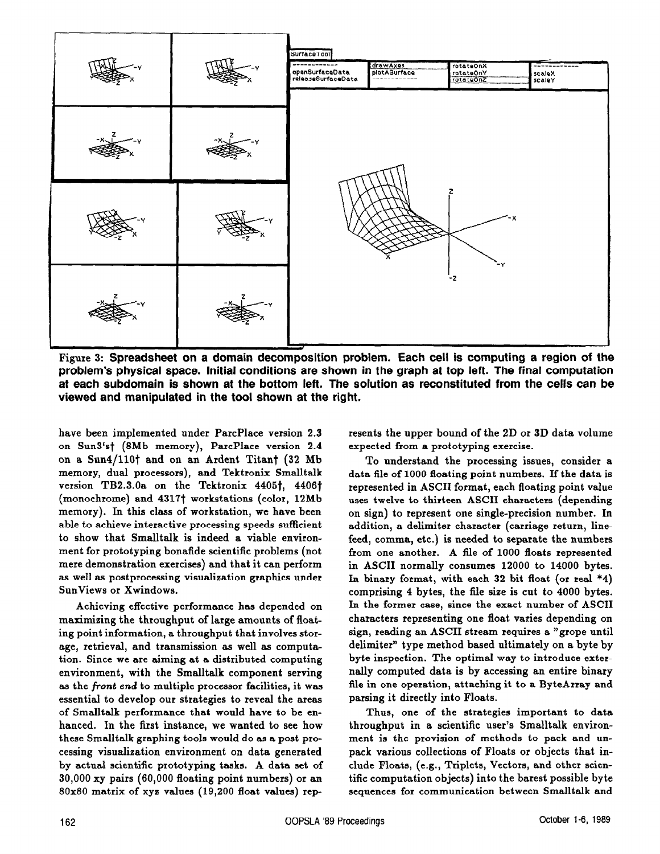

Figure 3: Spreadsheet on a domain decomposition problem. Each cell is computing a region of the problem's physical space. Initial conditions are shown in the graph at top left. The final computation at each subdomain is shown at the bottom left. The solution as reconstituted from the cells can be viewed and manipulated in the tool shown at the right.

have been implemented under ParcPlace version 2.3 on SunS'st (8Mb memory), ParcPlace version 2.4 on a Sun4/llOt and on an Ardent Titant (32 Mb memory, dual processors), and Tektronix Smalltalk version TB2.3.0a on the Tektronix 4405t, 4406t (monochrome) and 43171 workstations (color, 12Mb memory). In this class of workstation, we have been able to achieve interactive processing speeds sufficient to show that Smalltalk is indeed a viable environment for prototyping bonafide scientific problems (not mere demonstration exercises) and that it can perform as well as postprocessing visualization graphics under SunViews or Xwindows.

Achieving effective performance has depended on maximizing the throughput of large amounts of floating point information, a throughput that involves storage, retrieval, and transmission as well as computation. Since we are aiming at a distributed computing environment, with the Smalltalk component serving as the front end to multiple processor facilities, it was essential to develop our strategies to reveal the areas of Smalltalk performance that would have to be enhanced. In the first instance, we wanted to see how these Smalltalk graphing tools would do as a post processing visualization environment on data generated by actual scientific prototyping tasks. A data set of 30,000 xy pairs (60,000 floating point numbers) or an  $80x80$  matrix of xyz values  $(19,200)$  float values) represents the upper bound of the 2D or 3D data volume expected from a prototyping exercise.

To understand the processing issues, consider a data file of 1000 floating point numbers. If the data is represented in ASCII format, each floating point value uses twelve to thirteen ASCII characters (depending on sign) to represent one single-precision number. In addition, a delimiter character (carriage return, linefeed, comma, etc.) is needed to separate the numbers from one another. A file of 1000 floats represented in ASCII normally consumes 12000 to 14000 bytes. In binary format, with each 32 bit float (or real \*4) comprising 4 bytes, the file size is cut to 4000 bytes. In the former case, since the exact number of ASCII characters representing one float varies depending on sign, reading an ASCII stream requires a "grope until delimiter" type method based ultimately on a byte by byte inspection. The optimal way to introduce externally computed data is by accessing an entire binary file in one operation, attaching it to a ByteArray and parsing it directly into Floats.

Thus, one of the strategies important to data throughput in a scientific user's Smalltalk environment is the provision of methods to pack and unpack various collections of Floats or objects that include Floats, (e.g., Triplets, Vectors, and other scientific computation objects) into the barest possible byte sequences for communication between Smalltalk and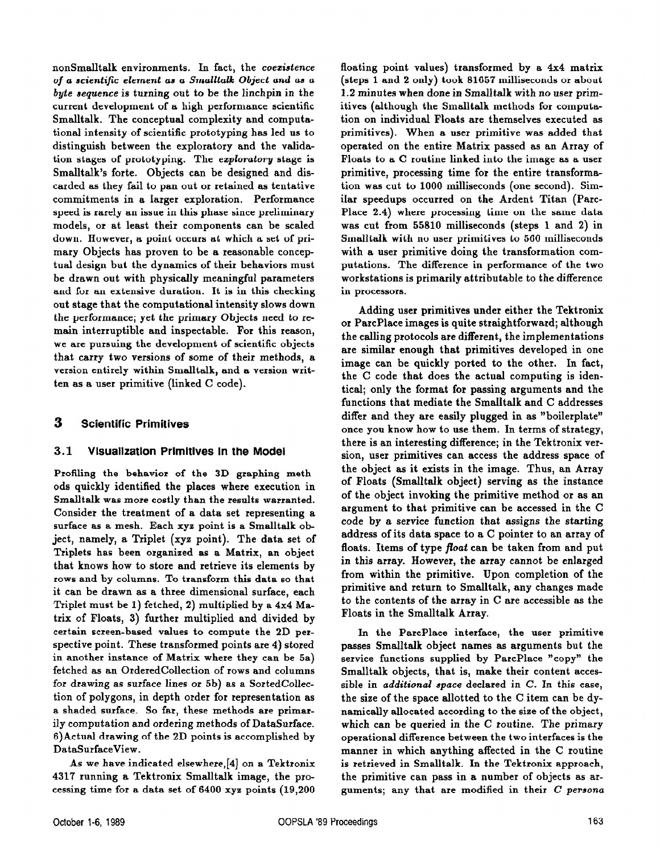nonSmalltalk environments. In fact, the coezistence of a scientific element as a Smalltalk Object and a8 a byte sequence is turning out to be the linchpin in the current development of a high performance scientific Smalltalk. The conceptual complexity and computational intensity of scientific prototyping has led us to distinguish between the exploratory and the validation stages of prototyping. The ezploratory stage is Smalltalk's forte. Objects can be designed and discarded as they fail to pan out or retained as tentative commitments in a larger exploration. Performance speed is rarely an issue in this phase since preliminary models, or at least their components can be scaled down. However, a point occurs at which a set of primary Objects has proven to be a reasonable conceptual design but the dynamics of their behaviors must be drawn out with physically meaningful parameters and for an extensive duration. It is in this checking out stage that the computational intensity slows down the performance; yet the primary Objects need to remain interruptible and inspectable. For this reason, we are pursuing the development of scientific objects that carry two versions of some of their methods, a version entirely within Smalltalk, and a version written as a user primitive (linked C code).

#### 3 Scientific Primitives

#### 3.1 Visualization Primitives in the Model

Profiling the behavior of the 3D graphing methods quickly identified the places where execution in Smalltalk was more costly than the results warranted. Consider the treatment of a data set representing a surface as a mesh. Each xyz point is a Smalltalk object, namely, a Triplet (xyz point). The data set of Triplets has been organized as a Matrix, an object that knows how to store and retrieve its elements by rows and by columns. To transform this data so that it can be drawn as a three dimensional surface, each Triplet must be 1) fetched, 2) multiplied by a 4x4 Matrix of Floats, 3) further multiplied and divided by certain screen-based values to compute the 2D perspective point. These transformed points are 4) stored in another instance of Matrix where they can be 5a) fetched as an OrderedCollection of rows and columns for drawing as surface lines or 5b) as a SortedCollection of polygons, in depth order for representation as a shaded surface. So far, these methods are primarily computation and ordering methods of DataSurface. 6)Actual drawing of the 2D points is accomplished by DataSurfaceView.

As we have indicated elsewhere,[4] on a Tektronix 4317 running a Tektronix Smalltalk image, the processing time for a data set of 6400 xyz points (19,200 floating point values) transformed by a 4x4 matrix (steps 1 and 2 only) took 81657 milliseconds or about 1.2 minutes when done in Smalltalk with no user primitives (although the Smalltalk methods for computation on individual Floats are themselves executed as primitives). When a user primitive was added that operated on the entire Matrix passed as an Array of Floats to a C routine linked into the image as a user primitive, processing time for the entire transformation was cut to 1000 milliseconds (one second). Similar speedups occurred on the Ardent Titan (Parc-Place 2.4) where processing time on the same data was cut from 55810 milliseconds (steps 1 and 2) in Smalltalk with no user primitives to 560 milliseconds with a user primitive doing the transformation computations. The difference in performance of the two workstations is primarily attributable to the difference in processors.

Adding user primitives under either the Tektronix or ParcPlace images is quite straightforward; although the calling protocols are different, the implementations are similar enough that primitives developed in one image can be quickly ported to the other. In fact, the C code that does the actual computing is identical; only the format for passing arguments and the functions that mediate the Smalltalk and C addresses differ and they are easily plugged in as "boilerplate" once you know how to use them. In terms of strategy, there is an interesting difference; in the Tektronix version, user primitives can access the address space of the object as it exists in the image. Thus, an Array of Floats (Smalltalk object) serving as the instance of the object invoking the primitive method or as an argument to that primitive can be accessed in the C code by a service function that assigns the starting address of its data space to a C pointer to an array of floats. Items of type float can be taken from and put in this array. However, the array cannot be enlarged from within the primitive. Upon completion of the primitive and return to Smalltalk, any changes made to the contents of the array in C are accessible as the Floats in the Smalltalk Array.

In the ParcPlace interface, the user primitive passes Smalltalk object names as arguments but the service functions supplied by ParcPlace "copy" the Smalltalk objects, that is, make their content accessible in additional space declared in C. In this case, the size of the space allotted to the C item can be dynamically allocated according to the size of the object, which can be queried in the C routine. The primary operational difference between the two interfaces is the manner in which anything affected in the C routine is retrieved in Smalltalk. In the Tektronix approach, the primitive can pass in a number of objects as arguments; any that are modified in their  $C$  persona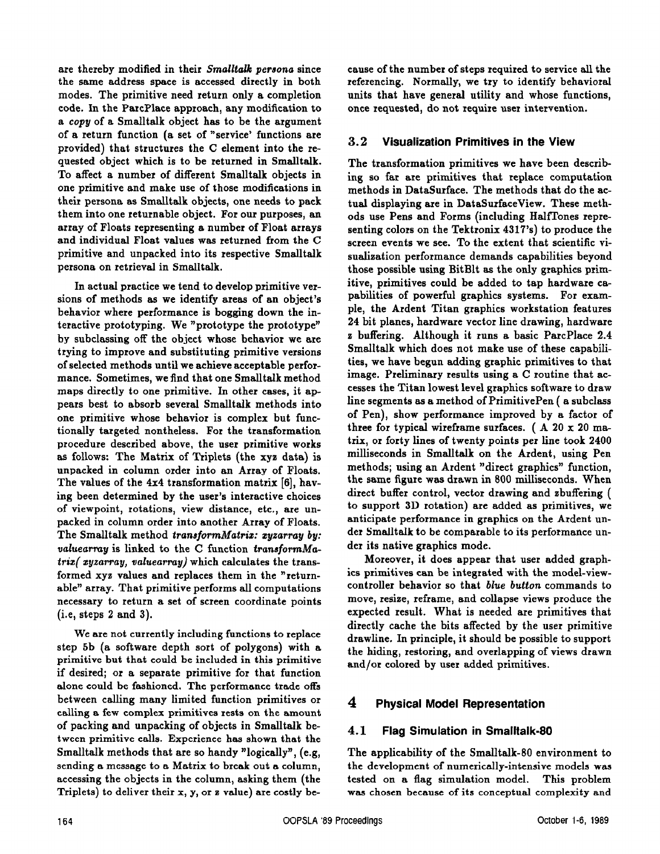are thereby modified in their Smalltalk persona since the same address space is accessed directly in both modes. The primitive need return only a completion code. In the ParcPlace approach, any modification to a copy of a Smalltalk object has to be the argument of a return function (a set of "service' functions are provided) that structures the C element into the requested object which is to be returned in Smalltalk. To affect a number of different Smalltalk objects in one primitive and make use of those modifications in their persona as Smalltalk objects, one needs to pack them into one returnable object. For our purposes, an array of Floats representing a number of Float arrays and individual Float values was returned from the C primitive and unpacked into its respective Smalltalk persona on retrieval in Smalltalk.

In actual practice we tend to develop primitive versions of methods as we identify areas of an object's behavior where performance is bogging down the interactive prototyping. We "prototype the prototype" by subclassing off the object whose behavior we are trying to improve and substituting primitive versions of selected methods until we achieve acceptable performance. Sometimes, we find that one Smalltalk method maps directly to one primitive. In other cases, it appears best to absorb several Smalltalk methods into one primitive whose behavior is complex but functionally targeted nontheless. For the transformation procedure described above, the user primitive works as follows: The Matrix of Triplets (the xyr data) is unpacked in column order into an Array of Floats. The values of the  $4x4$  transformation matrix [6], having been determined by the user's interactive choices of viewpoint, rotations, view distance, etc., are unpacked in column order into another Array of Floats. The Smalltalk method transformMatrix: zyzarray by: valuearray is linked to the C function transformMa $triz$ (*xyzarray, valuearray)* which calculates the transformed xys values and replaces them in the "returnable" array. That primitive performs all computations necessary to return a set of screen coordinate points (i.e, steps 2 and 3).

We are not currently including functions to replace step 5b (a software depth sort of polygons) with a primitive but that could be included in this primitive if desired; or a separate primitive for that function alone could be fashioned. The performance trade offs between calling many limited function primitives or calling a few complex primitives rests on the amount of packing and unpacking of objects in Smalltalk between primitive calls. Experience has shown that the Smalltalk methods that are so handy "logically", (e.g, sending a message to a Matrix to break out a column, accessing the objects in the column, asking them (the Triplets) to deliver their x, y, or z value) are costly because of the number of steps required to service all the referencing. Normally, we try to identify behavioral units that have general utility and whose functions, once requested, do not require user intervention.

#### 3.2 Visualization Primitives in the View

The transformation primitives we have been describing so far are primitives that replace computation methods in DataSurface. The methods that do the actual displaying are in DataSurfaceView. These methods use Pens and Forms (including HalfTones representing colors on the Tektronix 4317's) to produce the screen events we see. To the extent that scientific visualization performance demands capabilities beyond those possible using BitBlt as the only graphics primitive, primitives could be added to tap hardware capabilities of powerful graphics systems. For example, the Ardent Titan graphics workstation features 24 bit planes, hardware vector line drawing, hardware z buffering. Although it runs a basic ParcPlace 2.4 Smalltalk which does not make use of these capabilities, we have begun adding graphic primitives to that image. Preliminary results using a C routine that accesses the Titan lowest level graphics software to draw line segments as a method of PrimitivePen ( a subclass of Pen), show performance improved by a factor of three for typical wireframe surfaces. ( A 20 x 20 matrix, or forty lines of twenty points per line took 2400 milliseconds in Smalltalk on the Ardent, using Pen methods; using an Ardent "direct graphics" function, the same figure was drawn in 800 milliseconds. When direct buffer control, vector drawing and zbuffering ( to support 3D rotation) are added as primitives, we anticipate performance in graphics on the Ardent under Smalltalk to be comparable to its performance under its native graphics mode.

Moreover, it does appear that user added graphics primitives can be integrated with the model-viewcontroller behavior so that blue button commands to move, resize, reframe, and collapse views produce the expected result. What is needed are primitives that directly cache the bits affected by the user primitive drawline. In principle, it should be possible to support the hiding, restoring, and overlapping of views drawn and/or colored by user added primitives.

### 4 Physical Model Representation

### 4.1 Flag Simulation in Smalltalk-

The applicability of the Smalltalk-80 environment to the development of numerically-intensive models was tested on a flag simulation model. This problem was chosen because of its conceptual complexity and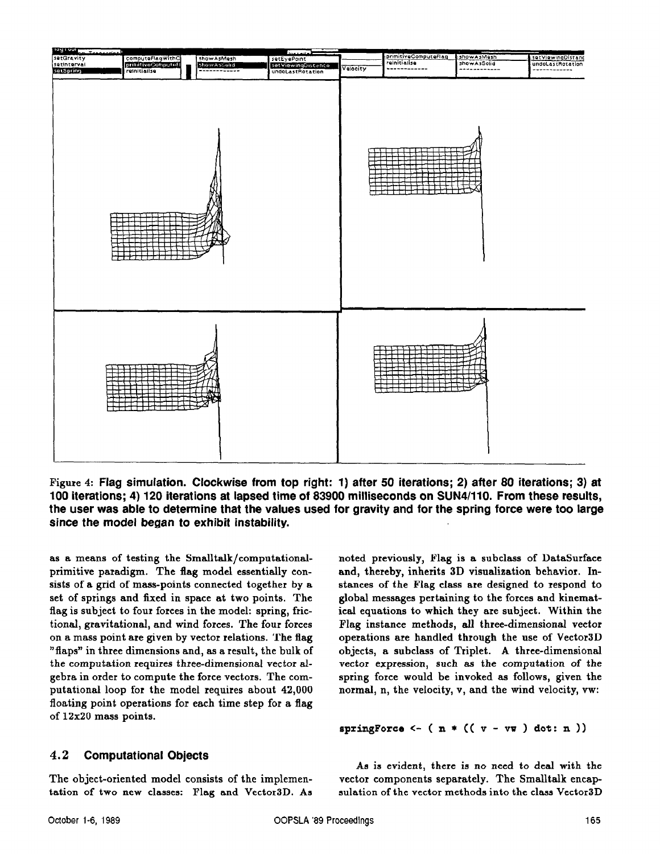

Figure 4: Flag simulation. Clockwise from top right: 1) after 50 iterations; 2) after 80 iterations; 3) at 100 iterations; 4) 120 iterations at lapsed time of 83900 milliseconds on SUN4/110. From these results, the user was able to determine that the values used for gravity and for the spring force were too large since the model began to exhibit instability.

as a means of testing the Smalltalk/computationalprimitive paradigm. The flag model essentially consists of a grid of mass-points connected together by a set of springs and fixed in space at two points. The flag is subject to four forces in the model: spring, frictional, gravitational, and wind forces. The four forces on a mass point are given by vector relations. The flag "flaps" in three dimensions and, as a result, the bulk of the computation requires three-dimensional vector algebra in order to compute the force vectors. The computational loop for the model requires about 42,000 floating point operations for each time step for a flag of 12x20 mass points.

#### 4.2 Computational Objects

The object-oriented model consists of the implementation of two new classes: Flag and Vector3D. As

noted previously, Flag is a subclass of DataSurface and, thereby, inherits 3D visualization behavior. Instances of the Flag class are designed to respond to global messages pertaining to the forces and kinematical equations to which they are subject. Within the Flag instance methods, all three-dimensional vector operations are handled through the use of Vector3D objects, a subclass of Triplet. A three-dimensional vector expression, such as the computation of the spring force would be invoked as follows, given the normal, n, the velocity, v, and the wind velocity, VW:

#### springForce  $\leftarrow$  ( n  $\ast$  (( v - vw ) dot: n ))

As is evident, there is no need to deal with the vector components separately. The Smalltalk encapsulation of the vector methods into the class Vector3D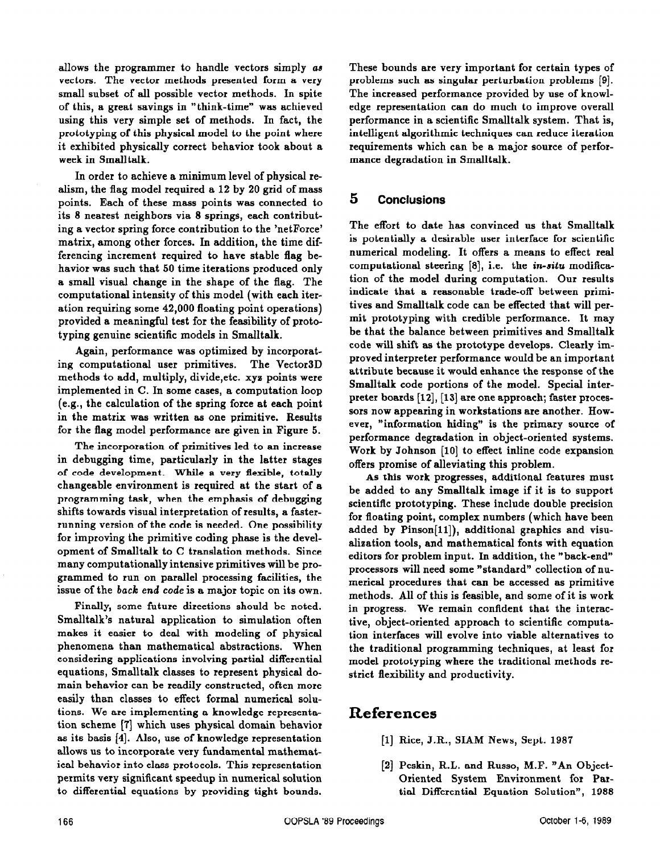allows the programmer to handle vectors simply  $as$  These bounds are very important for certain types of vectors. The vector methods presented form a very problems such as singular perturbation problems [9]. small subset of all possible vector methods. In spite The increased performance provided by use of knowlof this, a great savings in "think-time" was achieved edge representation can do much to improve overall using this very simple set of methods. In fact, the performance in a scientific Smalltalk system. That is, prototyping of this physical model to the point where intelligent algorithmic techniques can reduce iteration it exhibited physically correct behavior took about a requirements which can be a major source of perforweek in Smalltalk. The mance degradation in Smalltalk.

In order to achieve a minimum level of physical realism, the flag model required a 12 by 20 grid of mass points. Each of these mass points was connected to its 8 nearest neighbors via 8 springs, each contributing a vector spring force contribution to the 'netForce' matrix, among other forces. In addition, the time differencing increment required to have stable flag behavior was such that 50 time iterations produced only a small visual change in the shape of the flag. The computational intensity of this model (with each iteration requiring some 42,000 floating point operations) provided a meaningful test for the feasibility of prototyping genuine scientific models in Smalltalk.

Again, performance was optimized by incorporating computational user primitives. The VectorSD methods to add, multiply, divide,etc. xyz points were implemented in C. In some cases, a computation loop (e.g., the calculation of the spring force at each point in the matrix was written as one primitive. Results for the flag model performance are given in Figure 5.

The incorporation of primitives led to an increase in debugging time, particularly in the latter stages of code development. While a very flexible, totally changeable environment is required at the start of a programming task, when the emphasis of debugging shifts towards visual interpretation of results, a fasterrunning version of the code is needed. One possibility for improving the primitive coding phase is the development of Smalltalk to C translation methods. Since many computationally intensive primitives will be programmed to run on parallel processing facilities, the issue of the back end code is a major topic on its own.

Finally, some future directions should be noted. Smalltalk's natural application to simulation often makes it easier to deal with modeling of physical phenomena than mathematical abstractions. When considering applications involving partial differential equations, Smalltalk classes to represent physical domain behavior can be readily constructed, often more easily than classes to effect formal numerical solutions. We are implementing a knowledge representation scheme [7] which uses physical domain behavior as its basis [4]. Also, use of knowledge representation allows us to incorporate very fundamental mathematical behavior into class protocols. This representation permits very significant speedup in numerical solution to differential equations by providing tight bounds.

## 5 Conclusions

The effort to date has convinced us that Smalltalk is potentially a desirable user interface for scientific numerical modeling. It offers a means to effect real computational steering  $[8]$ , i.e. the *in-situ* modification of the model during computation. Our results indicate that a reasonable trade-off between primitives and Smalltalk code can be effected that will permit prototyping with credible performance. It may be that the balance between primitives and Smalltalk code will shift as the prototype develops. Clearly improved interpreter performance would be an important attribute because it would enhance the response of the Smalltalk code portions of the model. Special interpreter boards [12], [13] are one approach; faster processors now appearing in workstations are another. However, "information hiding" is the primary source of performance degradation in object-oriented systems. Work by Johnson [lo] to effect inline code expansion offers promise of alleviating this problem.

As this work progresses, additional features must be added to any Smalltalk image if it is to support scientific prototyping. These include double precision for floating point, complex numbers (which have been added by Pinson[11]), additional graphics and visualization tools, and mathematical fonts with equation editors for problem input. In addition, the "back-end" processors will need some "standard" collection of numerical procedures that can be accessed as primitive methods. All of this is feasible, and some of it is work in progress. We remain confident that the interactive, object-oriented approach to scientific computation interfaces will evolve into viable alternatives to the traditional programming techniques, at least for model prototyping where the traditional methods restrict flexibility and productivity.

# References

- [l] Rice, J.R., SIAM News, Sept. 1987
- [2] Peskin, R.L. and Russo, M.F. "An Object-Oriented System Environment for Partial Differential Equation Solution", 1988